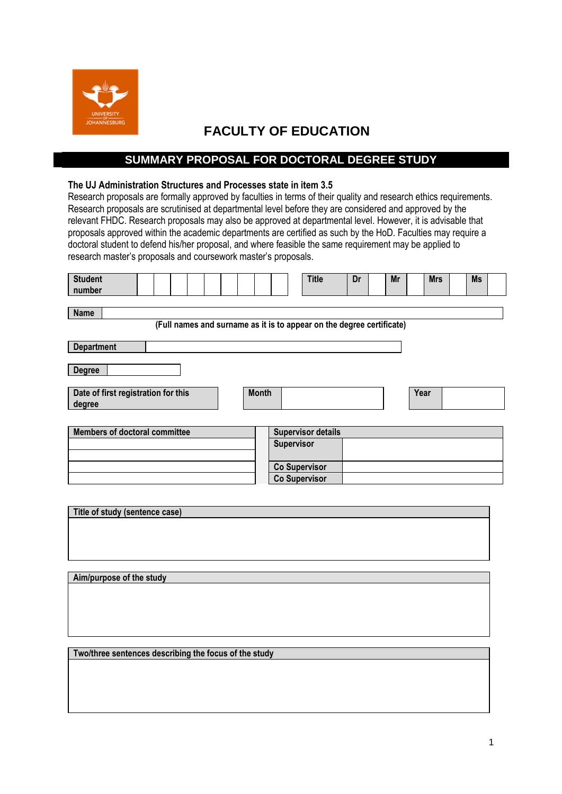

## **FACULTY OF EDUCATION**

## **SUMMARY PROPOSAL FOR DOCTORAL DEGREE STUDY**

## **The UJ Administration Structures and Processes state in item 3.5**

Research proposals are formally approved by faculties in terms of their quality and research ethics requirements. Research proposals are scrutinised at departmental level before they are considered and approved by the relevant FHDC. Research proposals may also be approved at departmental level. However, it is advisable that proposals approved within the academic departments are certified as such by the HoD. Faculties may require a doctoral student to defend his/her proposal, and where feasible the same requirement may be applied to research master's proposals and coursework master's proposals.

| <b>Student</b><br>number                                                             |  |              |            | <b>Title</b>              | Dr | Mr | <b>Mrs</b> | <b>Ms</b> |  |
|--------------------------------------------------------------------------------------|--|--------------|------------|---------------------------|----|----|------------|-----------|--|
| <b>Name</b><br>(Full names and surname as it is to appear on the degree certificate) |  |              |            |                           |    |    |            |           |  |
| <b>Department</b>                                                                    |  |              |            |                           |    |    |            |           |  |
| <b>Degree</b>                                                                        |  |              |            |                           |    |    |            |           |  |
| Date of first registration for this<br>degree                                        |  | <b>Month</b> |            |                           |    |    | Year       |           |  |
|                                                                                      |  |              |            |                           |    |    |            |           |  |
| <b>Members of doctoral committee</b>                                                 |  |              |            | <b>Supervisor details</b> |    |    |            |           |  |
|                                                                                      |  |              | Supervisor |                           |    |    |            |           |  |

| m | <b>OUDELVISUL UCLAIIS</b> |  |  |
|---|---------------------------|--|--|
|   | <b>Supervisor</b>         |  |  |
|   |                           |  |  |
|   | <b>Co Supervisor</b>      |  |  |
|   | <b>Co Supervisor</b>      |  |  |

| Title of study (sentence case) |  |  |
|--------------------------------|--|--|
|                                |  |  |
|                                |  |  |
|                                |  |  |
|                                |  |  |
|                                |  |  |

**Two/three sentences describing the focus of the study**

**Aim/purpose of the study**